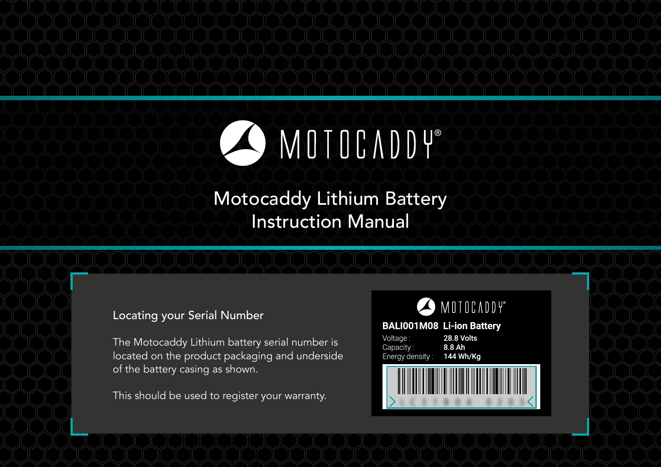

# Motocaddy Lithium Battery Instruction Manual

# Locating your Serial Number

The Motocaddy Lithium battery serial number is located on the product packaging and underside of the battery casing as shown.

This should be used to register your warranty.



#### **BALI001M08 Li-ion Battery**



28.8 Volts 8.8 Ah 144 Wh/Kg

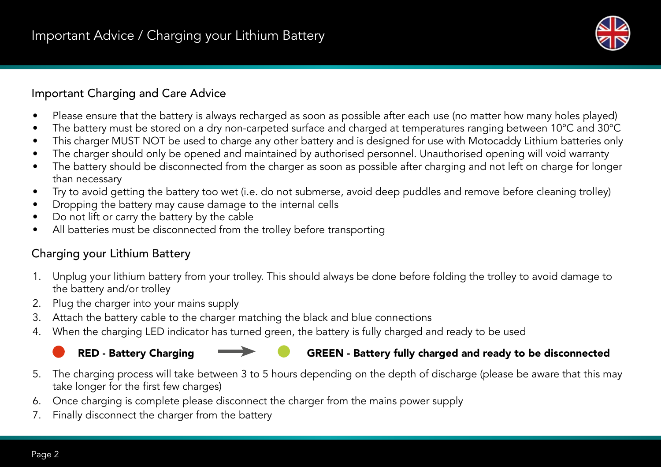

# Important Charging and Care Advice

- Please ensure that the battery is always recharged as soon as possible after each use (no matter how many holes played)
- The battery must be stored on a dry non-carpeted surface and charged at temperatures ranging between 10°C and 30°C
- This charger MUST NOT be used to charge any other battery and is designed for use with Motocaddy Lithium batteries only
- The charger should only be opened and maintained by authorised personnel. Unauthorised opening will void warranty
- The battery should be disconnected from the charger as soon as possible after charging and not left on charge for longer than necessary
- Try to avoid getting the battery too wet (i.e. do not submerse, avoid deep puddles and remove before cleaning trolley)
- Dropping the battery may cause damage to the internal cells
- Do not lift or carry the battery by the cable
- All batteries must be disconnected from the trolley before transporting

# Charging your Lithium Battery

- 1. Unplug your lithium battery from your trolley. This should always be done before folding the trolley to avoid damage to the battery and/or trolley
- 2. Plug the charger into your mains supply
- 3. Attach the battery cable to the charger matching the black and blue connections
- 4. When the charging LED indicator has turned green, the battery is fully charged and ready to be used
	-

# RED - Battery Charging GREEN - Battery fully charged and ready to be disconnected

- 5. The charging process will take between 3 to 5 hours depending on the depth of discharge (please be aware that this may take longer for the first few charges)
- 6. Once charging is complete please disconnect the charger from the mains power supply
- 7. Finally disconnect the charger from the battery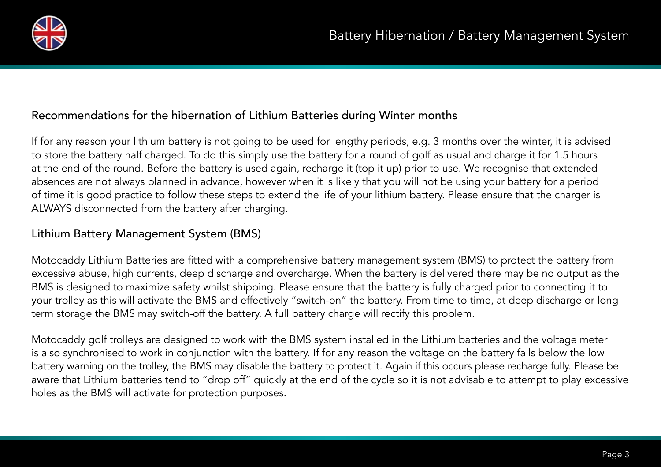

# Recommendations for the hibernation of Lithium Batteries during Winter months

If for any reason your lithium battery is not going to be used for lengthy periods, e.g. 3 months over the winter, it is advised to store the battery half charged. To do this simply use the battery for a round of golf as usual and charge it for 1.5 hours at the end of the round. Before the battery is used again, recharge it (top it up) prior to use. We recognise that extended absences are not always planned in advance, however when it is likely that you will not be using your battery for a period of time it is good practice to follow these steps to extend the life of your lithium battery. Please ensure that the charger is ALWAYS disconnected from the battery after charging.

# Lithium Battery Management System (BMS)

Motocaddy Lithium Batteries are fitted with a comprehensive battery management system (BMS) to protect the battery from excessive abuse, high currents, deep discharge and overcharge. When the battery is delivered there may be no output as the BMS is designed to maximize safety whilst shipping. Please ensure that the battery is fully charged prior to connecting it to your trolley as this will activate the BMS and effectively "switch-on" the battery. From time to time, at deep discharge or long term storage the BMS may switch-off the battery. A full battery charge will rectify this problem.

Motocaddy golf trolleys are designed to work with the BMS system installed in the Lithium batteries and the voltage meter is also synchronised to work in conjunction with the battery. If for any reason the voltage on the battery falls below the low battery warning on the trolley, the BMS may disable the battery to protect it. Again if this occurs please recharge fully. Please be aware that Lithium batteries tend to "drop off" quickly at the end of the cycle so it is not advisable to attempt to play excessive holes as the BMS will activate for protection purposes.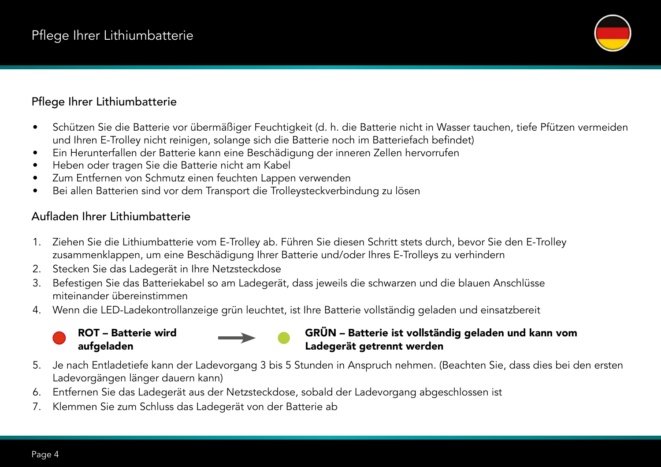

# Pflege Ihrer Lithiumbatterie

- Schützen Sie die Batterie vor übermäßiger Feuchtigkeit (d. h. die Batterie nicht in Wasser tauchen, tiefe Pfützen vermeiden und Ihren E-Trolley nicht reinigen, solange sich die Batterie noch im Batteriefach befindet)
- Ein Herunterfallen der Batterie kann eine Beschädigung der inneren Zellen hervorrufen
- Heben oder tragen Sie die Batterie nicht am Kabel
- Zum Entfernen von Schmutz einen feuchten Lappen verwenden
- Bei allen Batterien sind vor dem Transport die Trolleysteckverbindung zu lösen

# Aufladen Ihrer Lithiumbatterie

- 1. Ziehen Sie die Lithiumbatterie vom E-Trolley ab. Führen Sie diesen Schritt stets durch, bevor Sie den E-Trolley zusammenklappen, um eine Beschädigung Ihrer Batterie und/oder Ihres E-Trolleys zu verhindern
- 2. Stecken Sie das Ladegerät in Ihre Netzsteckdose
- 3. Befestigen Sie das Batteriekabel so am Ladegerät, dass jeweils die schwarzen und die blauen Anschlüsse miteinander übereinstimmen
- 4. Wenn die LED-Ladekontrollanzeige grün leuchtet, ist Ihre Batterie vollständig geladen und einsatzbereit

#### ROT – Batterie wird aufgeladen

### GRÜN – Batterie ist vollständig geladen und kann vom Ladegerät getrennt werden

- 5. Je nach Entladetiefe kann der Ladevorgang 3 bis 5 Stunden in Anspruch nehmen. (Beachten Sie, dass dies bei den ersten Ladevorgängen länger dauern kann)
- 6. Entfernen Sie das Ladegerät aus der Netzsteckdose, sobald der Ladevorgang abgeschlossen ist
- 7. Klemmen Sie zum Schluss das Ladegerät von der Batterie ab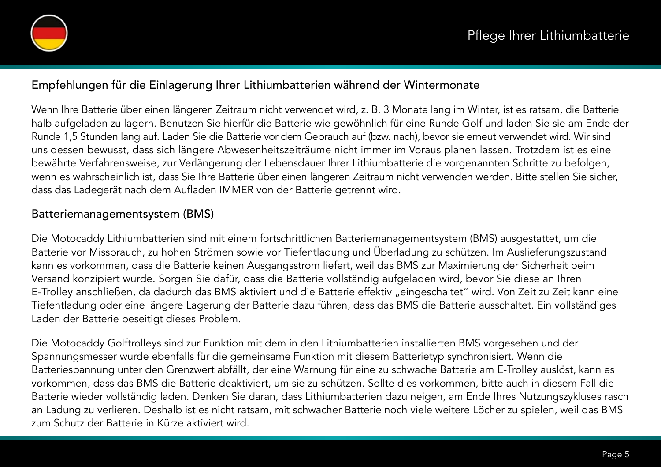

### Empfehlungen für die Einlagerung Ihrer Lithiumbatterien während der Wintermonate

Wenn Ihre Batterie über einen längeren Zeitraum nicht verwendet wird, z. B. 3 Monate lang im Winter, ist es ratsam, die Batterie halb aufgeladen zu lagern. Benutzen Sie hierfür die Batterie wie gewöhnlich für eine Runde Golf und laden Sie sie am Ende der Runde 1,5 Stunden lang auf. Laden Sie die Batterie vor dem Gebrauch auf (bzw. nach), bevor sie erneut verwendet wird. Wir sind uns dessen bewusst, dass sich längere Abwesenheitszeiträume nicht immer im Voraus planen lassen. Trotzdem ist es eine bewährte Verfahrensweise, zur Verlängerung der Lebensdauer Ihrer Lithiumbatterie die vorgenannten Schritte zu befolgen, wenn es wahrscheinlich ist, dass Sie Ihre Batterie über einen längeren Zeitraum nicht verwenden werden. Bitte stellen Sie sicher, dass das Ladegerät nach dem Aufladen IMMER von der Batterie getrennt wird.

# Batteriemanagementsystem (BMS)

Die Motocaddy Lithiumbatterien sind mit einem fortschrittlichen Batteriemanagementsystem (BMS) ausgestattet, um die Batterie vor Missbrauch, zu hohen Strömen sowie vor Tiefentladung und Überladung zu schützen. Im Auslieferungszustand kann es vorkommen, dass die Batterie keinen Ausgangsstrom liefert, weil das BMS zur Maximierung der Sicherheit beim Versand konzipiert wurde. Sorgen Sie dafür, dass die Batterie vollständig aufgeladen wird, bevor Sie diese an Ihren E-Trolley anschließen, da dadurch das BMS aktiviert und die Batterie effektiv "eingeschaltet" wird. Von Zeit zu Zeit kann eine Tiefentladung oder eine längere Lagerung der Batterie dazu führen, dass das BMS die Batterie ausschaltet. Ein vollständiges Laden der Batterie beseitigt dieses Problem.

Die Motocaddy Golftrolleys sind zur Funktion mit dem in den Lithiumbatterien installierten BMS vorgesehen und der Spannungsmesser wurde ebenfalls für die gemeinsame Funktion mit diesem Batterietyp synchronisiert. Wenn die Batteriespannung unter den Grenzwert abfällt, der eine Warnung für eine zu schwache Batterie am E-Trolley auslöst, kann es vorkommen, dass das BMS die Batterie deaktiviert, um sie zu schützen. Sollte dies vorkommen, bitte auch in diesem Fall die Batterie wieder vollständig laden. Denken Sie daran, dass Lithiumbatterien dazu neigen, am Ende Ihres Nutzungszykluses rasch an Ladung zu verlieren. Deshalb ist es nicht ratsam, mit schwacher Batterie noch viele weitere Löcher zu spielen, weil das BMS zum Schutz der Batterie in Kürze aktiviert wird.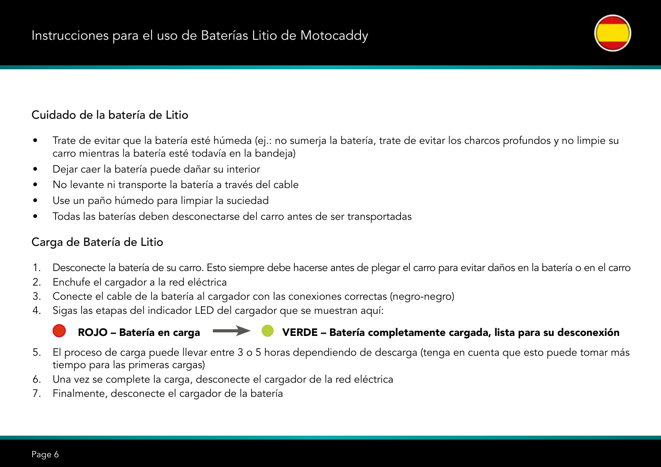# Cuidado de la batería de Litio

- Trate de evitar que la batería esté húmeda (ej.: no sumerja la batería, trate de evitar los charcos profundos y no limpie su carro mientras la batería esté todavía en la bandeja)
- Dejar caer la batería puede dañar su interior
- No levante ni transporte la batería a través del cable
- Use un paño húmedo para limpiar la suciedad
- Todas las baterías deben desconectarse del carro antes de ser transportadas

# Carga de Batería de Litio

- 1. Desconecte la batería de su carro. Esto siempre debe hacerse antes de plegar el carro para evitar daños en la batería o en el carro
- 2. Enchufe el cargador a la red eléctrica
- 3. Conecte el cable de la batería al cargador con las conexiones correctas (negro-negro)
- 4. Sigas las etapas del indicador LED del cargador que se muestran aquí:

# ROJO – Batería en carga **VERDE** – VERDE – Batería completamente cargada, lista para su desconexión

- 5. El proceso de carga puede llevar entre 3 o 5 horas dependiendo de descarga (tenga en cuenta que esto puede tomar más tiempo para las primeras cargas)
- 6. Una vez se complete la carga, desconecte el cargador de la red eléctrica
- 7. Finalmente, desconecte el cargador de la batería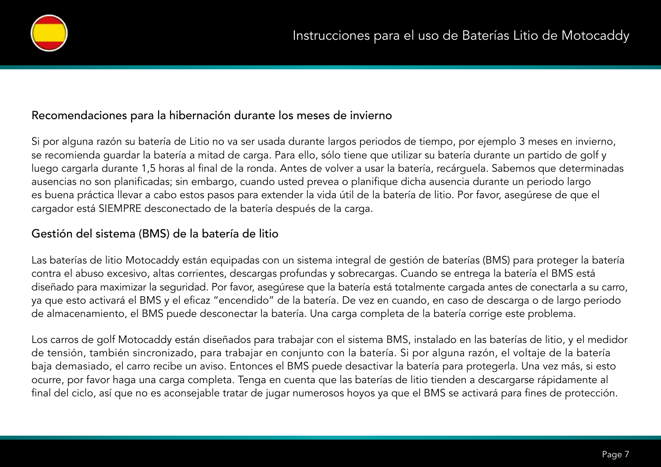

#### Recomendaciones para la hibernación durante los meses de invierno

Si por alguna razón su batería de Litio no va ser usada durante largos periodos de tiempo, por ejemplo 3 meses en invierno, se recomienda guardar la batería a mitad de carga. Para ello, sólo tiene que utilizar su batería durante un partido de golf y luego cargarla durante 1,5 horas al final de la ronda. Antes de volver a usar la batería, recárguela. Sabemos que determinadas ausencias no son planificadas; sin embargo, cuando usted prevea o planifique dicha ausencia durante un periodo largo es buena práctica llevar a cabo estos pasos para extender la vida útil de la batería de litio. Por favor, asegúrese de que el cargador está SIEMPRE desconectado de la batería después de la carga.

### Gestión del sistema (BMS) de la batería de litio

Las baterías de litio Motocaddy están equipadas con un sistema integral de gestión de baterías (BMS) para proteger la batería contra el abuso excesivo, altas corrientes, descargas profundas y sobrecargas. Cuando se entrega la batería el BMS está diseñado para maximizar la seguridad. Por favor, asegúrese que la batería está totalmente cargada antes de conectarla a su carro, ya que esto activará el BMS y el eficaz "encendido" de la batería. De vez en cuando, en caso de descarga o de largo periodo de almacenamiento, el BMS puede desconectar la batería. Una carga completa de la batería corrige este problema.

Los carros de golf Motocaddy están diseñados para trabajar con el sistema BMS, instalado en las baterías de litio, y el medidor de tensión, también sincronizado, para trabajar en conjunto con la batería. Si por alguna razón, el voltaje de la batería baja demasiado, el carro recibe un aviso. Entonces el BMS puede desactivar la batería para protegerla. Una vez más, si esto ocurre, por favor haga una carga completa. Tenga en cuenta que las baterías de litio tienden a descargarse rápidamente al final del ciclo, así que no es aconsejable tratar de jugar numerosos hoyos ya que el BMS se activará para fines de protección.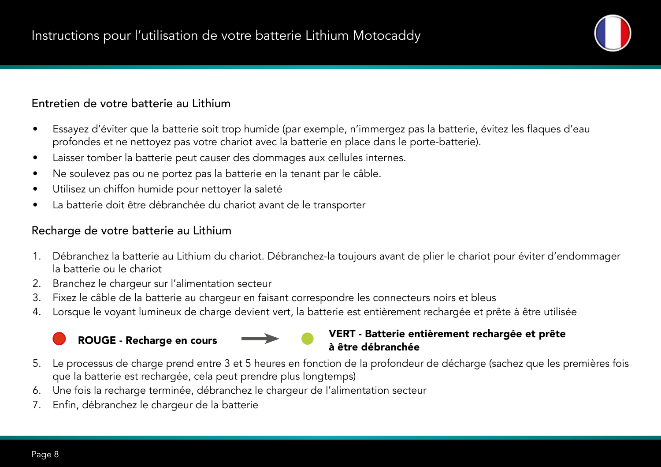# Entretien de votre batterie au Lithium

- Essayez d'éviter que la batterie soit trop humide (par exemple, n'immergez pas la batterie, évitez les flaques d'eau profondes et ne nettoyez pas votre chariot avec la batterie en place dans le porte-batterie).
- Laisser tomber la batterie peut causer des dommages aux cellules internes.
- Ne soulevez pas ou ne portez pas la batterie en la tenant par le câble.
- Utilisez un chiffon humide pour nettoyer la saleté
- La batterie doit être débranchée du chariot avant de le transporter

### Recharge de votre batterie au Lithium

- 1. Débranchez la batterie au Lithium du chariot. Débranchez-la toujours avant de plier le chariot pour éviter d'endommager la batterie ou le chariot
- 2. Branchez le chargeur sur l'alimentation secteur
- 3. Fixez le câble de la batterie au chargeur en faisant correspondre les connecteurs noirs et bleus
- 4. Lorsque le voyant lumineux de charge devient vert, la batterie est entièrement rechargée et prête à être utilisée

#### ROUGE - Recharge en cours **VERT** - Batterie entièrement rechargée et prête à être débranchée

- 5. Le processus de charge prend entre 3 et 5 heures en fonction de la profondeur de décharge (sachez que les premières fois que la batterie est rechargée, cela peut prendre plus longtemps)
- 6. Une fois la recharge terminée, débranchez le chargeur de l'alimentation secteur
- 7. Enfin, débranchez le chargeur de la batterie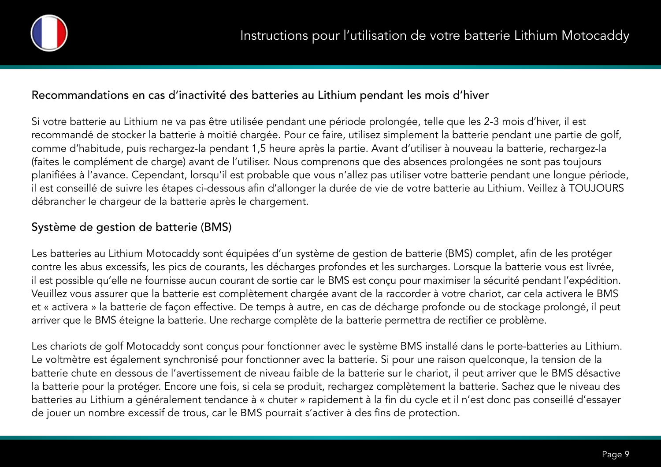

#### Recommandations en cas d'inactivité des batteries au Lithium pendant les mois d'hiver

Si votre batterie au Lithium ne va pas être utilisée pendant une période prolongée, telle que les 2-3 mois d'hiver, il est recommandé de stocker la batterie à moitié chargée. Pour ce faire, utilisez simplement la batterie pendant une partie de golf, comme d'habitude, puis rechargez-la pendant 1,5 heure après la partie. Avant d'utiliser à nouveau la batterie, rechargez-la (faites le complément de charge) avant de l'utiliser. Nous comprenons que des absences prolongées ne sont pas toujours planifiées à l'avance. Cependant, lorsqu'il est probable que vous n'allez pas utiliser votre batterie pendant une longue période, il est conseillé de suivre les étapes ci-dessous afin d'allonger la durée de vie de votre batterie au Lithium. Veillez à TOUJOURS débrancher le chargeur de la batterie après le chargement.

# Système de gestion de batterie (BMS)

Les batteries au Lithium Motocaddy sont équipées d'un système de gestion de batterie (BMS) complet, afin de les protéger contre les abus excessifs, les pics de courants, les décharges profondes et les surcharges. Lorsque la batterie vous est livrée, il est possible qu'elle ne fournisse aucun courant de sortie car le BMS est conçu pour maximiser la sécurité pendant l'expédition. Veuillez vous assurer que la batterie est complètement chargée avant de la raccorder à votre chariot, car cela activera le BMS et « activera » la batterie de façon effective. De temps à autre, en cas de décharge profonde ou de stockage prolongé, il peut arriver que le BMS éteigne la batterie. Une recharge complète de la batterie permettra de rectifier ce problème.

Les chariots de golf Motocaddy sont conçus pour fonctionner avec le système BMS installé dans le porte-batteries au Lithium. Le voltmètre est également synchronisé pour fonctionner avec la batterie. Si pour une raison quelconque, la tension de la batterie chute en dessous de l'avertissement de niveau faible de la batterie sur le chariot, il peut arriver que le BMS désactive la batterie pour la protéger. Encore une fois, si cela se produit, rechargez complètement la batterie. Sachez que le niveau des batteries au Lithium a généralement tendance à « chuter » rapidement à la fin du cycle et il n'est donc pas conseillé d'essayer de jouer un nombre excessif de trous, car le BMS pourrait s'activer à des fins de protection.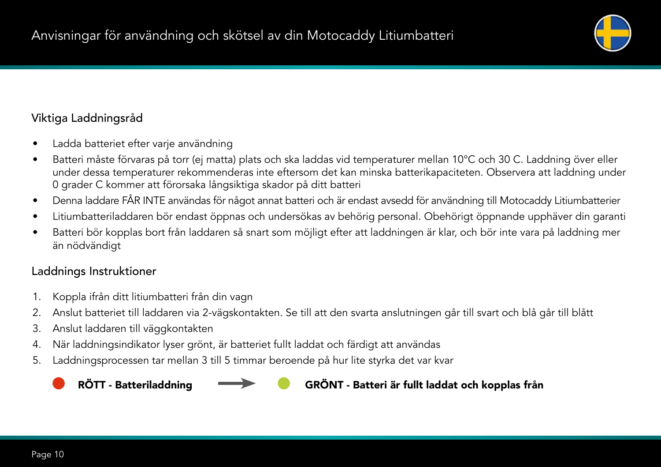# Viktiga Laddningsråd

- Ladda batteriet efter varje användning
- Batteri måste förvaras på torr (ej matta) plats och ska laddas vid temperaturer mellan 10°C och 30 C. Laddning över eller under dessa temperaturer rekommenderas inte eftersom det kan minska batterikapaciteten. Observera att laddning under 0 grader C kommer att förorsaka långsiktiga skador på ditt batteri
- Denna laddare FÅR INTE användas för något annat batteri och är endast avsedd för användning till Motocaddy Litiumbatterier
- Litiumbatteriladdaren bör endast öppnas och undersökas av behörig personal. Obehörigt öppnande upphäver din garanti
- Batteri bör kopplas bort från laddaren så snart som möjligt efter att laddningen är klar, och bör inte vara på laddning mer än nödvändigt

# Laddnings Instruktioner

- 1. Koppla ifrån ditt litiumbatteri från din vagn
- 2. Anslut batteriet till laddaren via 2-vägskontakten. Se till att den svarta anslutningen går till svart och blå går till blått
- 3. Anslut laddaren till väggkontakten
- 4. När laddningsindikator lyser grönt, är batteriet fullt laddat och färdigt att användas
- 5. Laddningsprocessen tar mellan 3 till 5 timmar beroende på hur lite styrka det var kvar



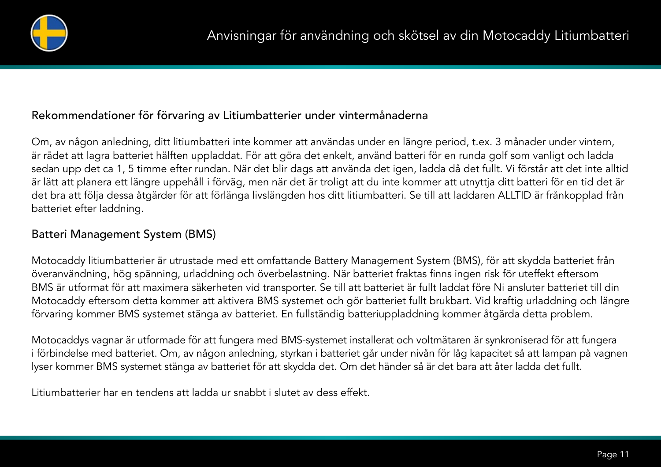

# Rekommendationer för förvaring av Litiumbatterier under vintermånaderna

Om, av någon anledning, ditt litiumbatteri inte kommer att användas under en längre period, t.ex. 3 månader under vintern, är rådet att lagra batteriet hälften uppladdat. För att göra det enkelt, använd batteri för en runda golf som vanligt och ladda sedan upp det ca 1, 5 timme efter rundan. När det blir dags att använda det igen, ladda då det fullt. Vi förstår att det inte alltid är lätt att planera ett längre uppehåll i förväg, men när det är troligt att du inte kommer att utnyttja ditt batteri för en tid det är det bra att följa dessa åtgärder för att förlänga livslängden hos ditt litiumbatteri. Se till att laddaren ALLTID är frånkopplad från batteriet efter laddning.

### Batteri Management System (BMS)

Motocaddy litiumbatterier är utrustade med ett omfattande Battery Management System (BMS), för att skydda batteriet från överanvändning, hög spänning, urladdning och överbelastning. När batteriet fraktas finns ingen risk för uteffekt eftersom BMS är utformat för att maximera säkerheten vid transporter. Se till att batteriet är fullt laddat före Ni ansluter batteriet till din Motocaddy eftersom detta kommer att aktivera BMS systemet och gör batteriet fullt brukbart. Vid kraftig urladdning och längre förvaring kommer BMS systemet stänga av batteriet. En fullständig batteriuppladdning kommer åtgärda detta problem.

Motocaddys vagnar är utformade för att fungera med BMS-systemet installerat och voltmätaren är synkroniserad för att fungera i förbindelse med batteriet. Om, av någon anledning, styrkan i batteriet går under nivån för låg kapacitet så att lampan på vagnen lyser kommer BMS systemet stänga av batteriet för att skydda det. Om det händer så är det bara att åter ladda det fullt.

Litiumbatterier har en tendens att ladda ur snabbt i slutet av dess effekt.